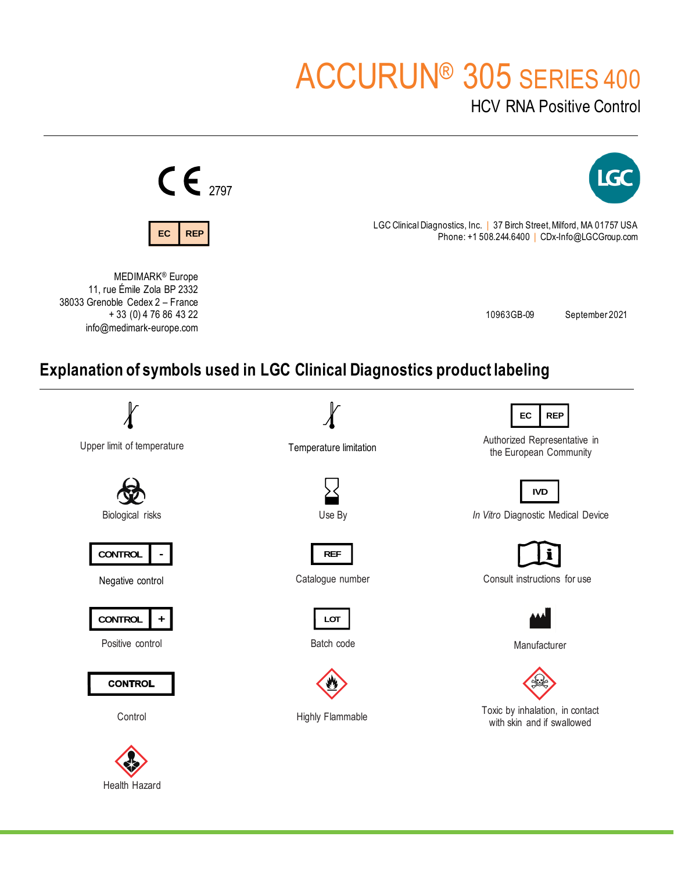# ACCURUN® 305 SERIES 400

HCV RNA Positive Control